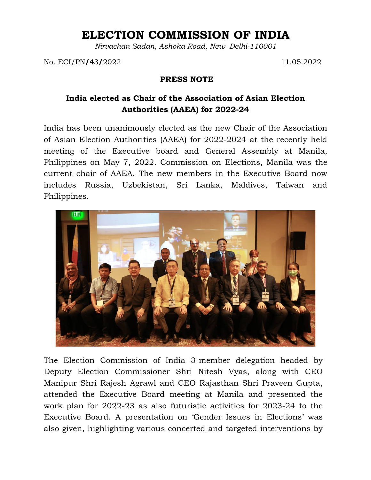## **ELECTION COMMISSION OF INDIA**

*Nirvachan Sadan, Ashoka Road, New Delhi-110001*

No. ECI/PN**/**43**/**2022 11.05.2022

## **PRESS NOTE**

## **India elected as Chair of the Association of Asian Election Authorities (AAEA) for 2022-24**

India has been unanimously elected as the new Chair of the Association of Asian Election Authorities (AAEA) for 2022-2024 at the recently held meeting of the Executive board and General Assembly at Manila, Philippines on May 7, 2022. Commission on Elections, Manila was the current chair of AAEA. The new members in the Executive Board now includes Russia, Uzbekistan, Sri Lanka, Maldives, Taiwan and Philippines.



The Election Commission of India 3-member delegation headed by Deputy Election Commissioner Shri Nitesh Vyas, along with CEO Manipur Shri Rajesh Agrawl and CEO Rajasthan Shri Praveen Gupta, attended the Executive Board meeting at Manila and presented the work plan for 2022-23 as also futuristic activities for 2023-24 to the Executive Board. A presentation on 'Gender Issues in Elections' was also given, highlighting various concerted and targeted interventions by